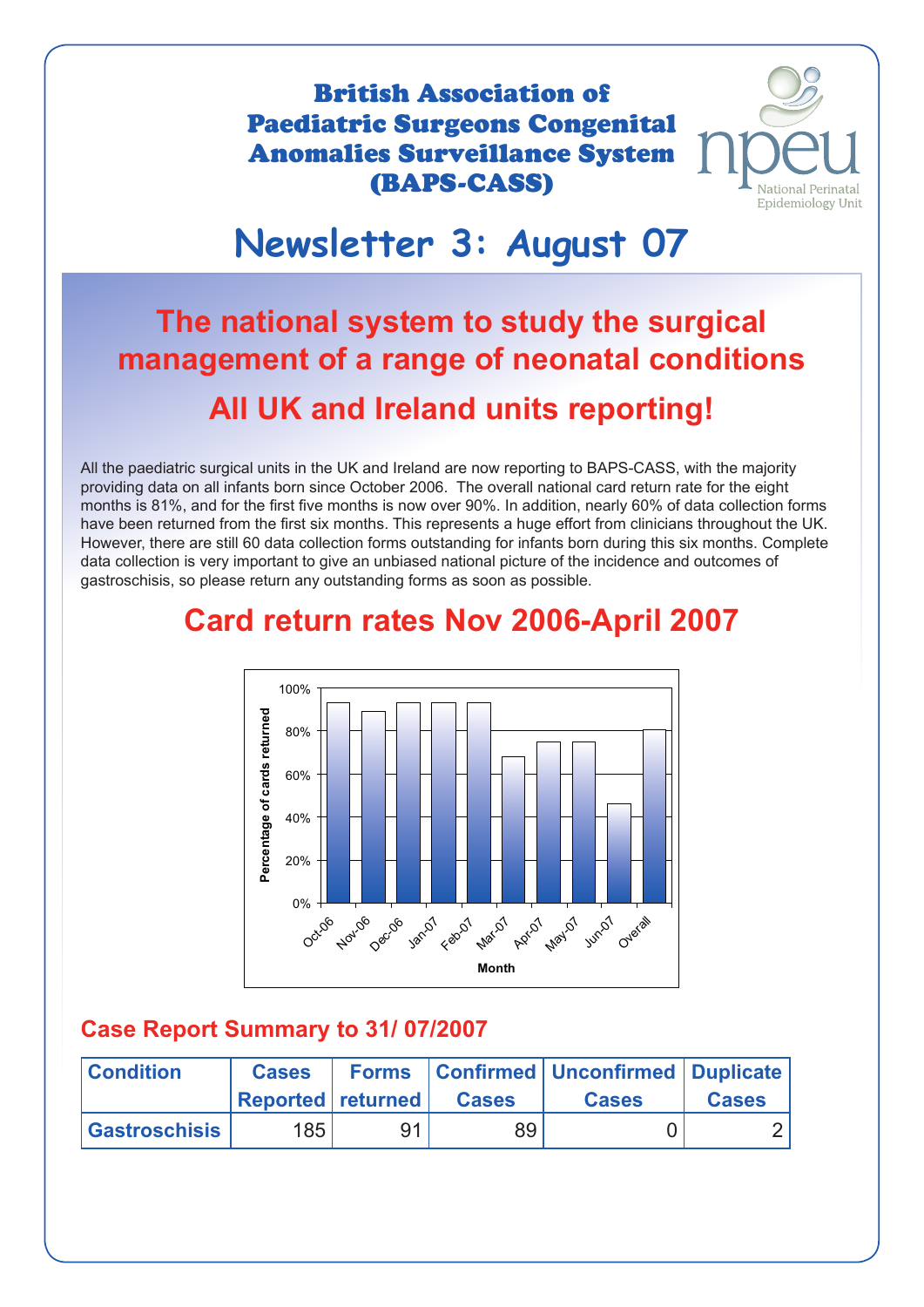British Association of Paediatric Surgeons Congenital Anomalies Surveillance System (BAPS-CASS)



## **Newsletter 3: August 07**

## **The national system to study the surgical management of a range of neonatal conditions All UK and Ireland units reporting! Paediatric Surgeons Congenital<br>
(BAPS-CASS)**<br> **SURPS-CASS)**<br> **SURPS-CASS**<br> **SURPS-CASS**<br> **SURPS-CASS**<br> **SURPS-CASS**<br> **SURPS-CASS**<br> **SURPS-CASS**<br> **SURPS-CASS**<br> **SURPS-CASS**<br> **OF**<br> **SURPS-CASS**<br> **OF**<br> **OF**<br> **OF**<br> **OF**<br> **OF**

All the paediatric surgical units in the UK and Ireland are now reporting to BAPS-CASS, with the majority providing data on all infants born since October 2006. The overall national card return rate for the eight months is 81%, and for the first five months is now over 90%. In addition, nearly 60% of data collection forms have been returned from the first six months. This represents a huge effort from clinicians throughout the UK. • However, there are still 60 data collection forms outstanding for infants born during this six months. Complete data collection is very important to give an unbiased national picture of the incidence and outcomes of gastroschisis, so please return any outstanding forms as soon as possible. wever, tl<br>a collec<br>troschis



## **Card return rates Nov 2006-April 2007**

#### **Case Report Summary to 31/ 07/2007**

| <b>Condition</b>     | <b>Cases</b><br><b>Reported returned</b> |    | <b>Cases</b> | <b>Forms</b>   Confirmed   Unconfirmed   Duplicate  <br><b>Cases</b> | <b>Cases</b> |
|----------------------|------------------------------------------|----|--------------|----------------------------------------------------------------------|--------------|
|                      |                                          |    |              |                                                                      |              |
| <b>Gastroschisis</b> | 185 <sub>1</sub>                         | О1 | 89           |                                                                      |              |